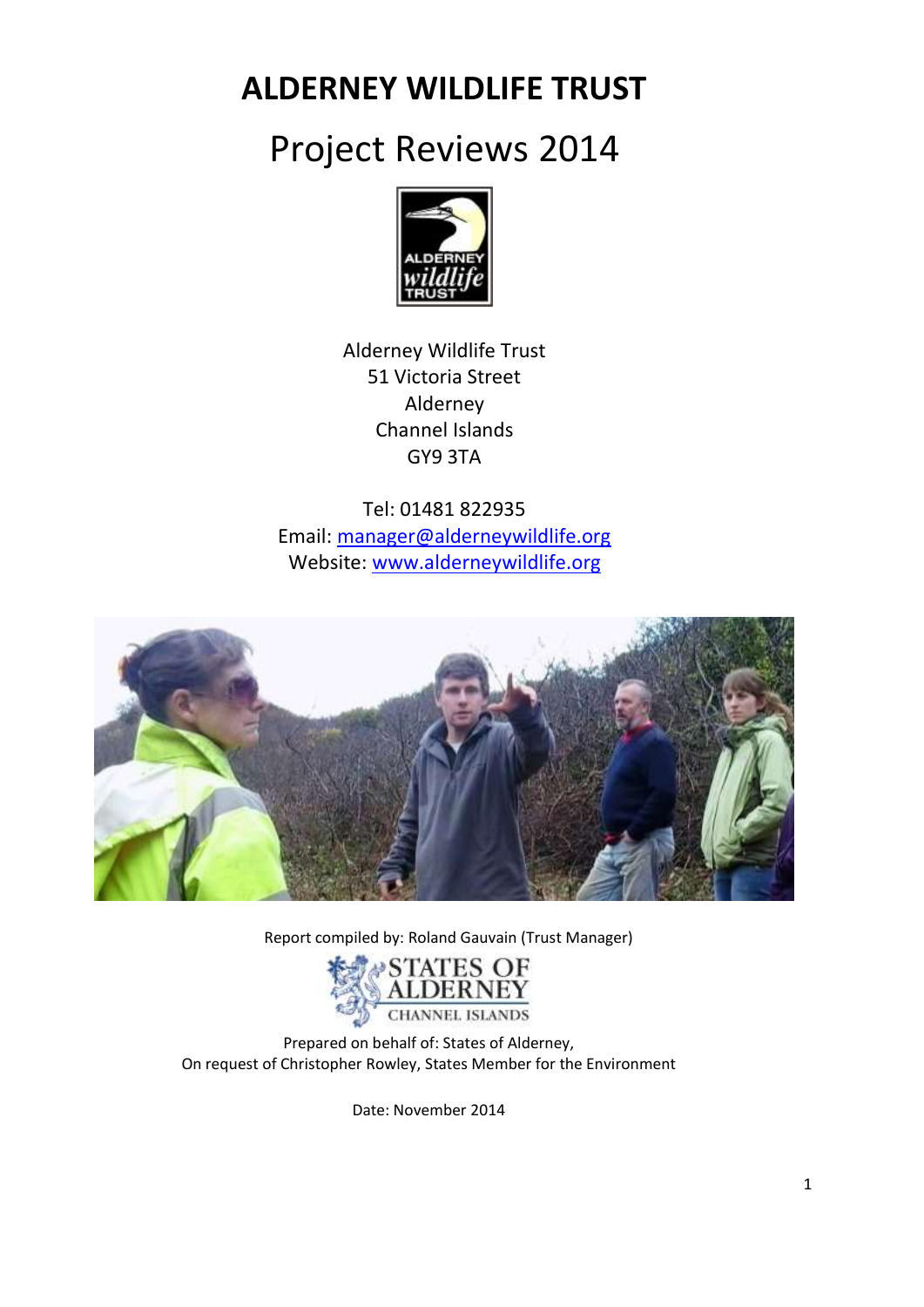**ALDERNEY WILDLIFE TRUST**

# Project Reviews 2014



Alderney Wildlife Trust 51 Victoria Street Alderney Channel Islands GY9 3TA

Tel: 01481 822935 Email: [manager@alderneywildlife.org](mailto:manager@alderneywildlife.org) Website: [www.alderneywildlife.org](http://www.alderneywildlife.org/)



Report compiled by: Roland Gauvain (Trust Manager)



Prepared on behalf of: States of Alderney, On request of Christopher Rowley, States Member for the Environment

Date: November 2014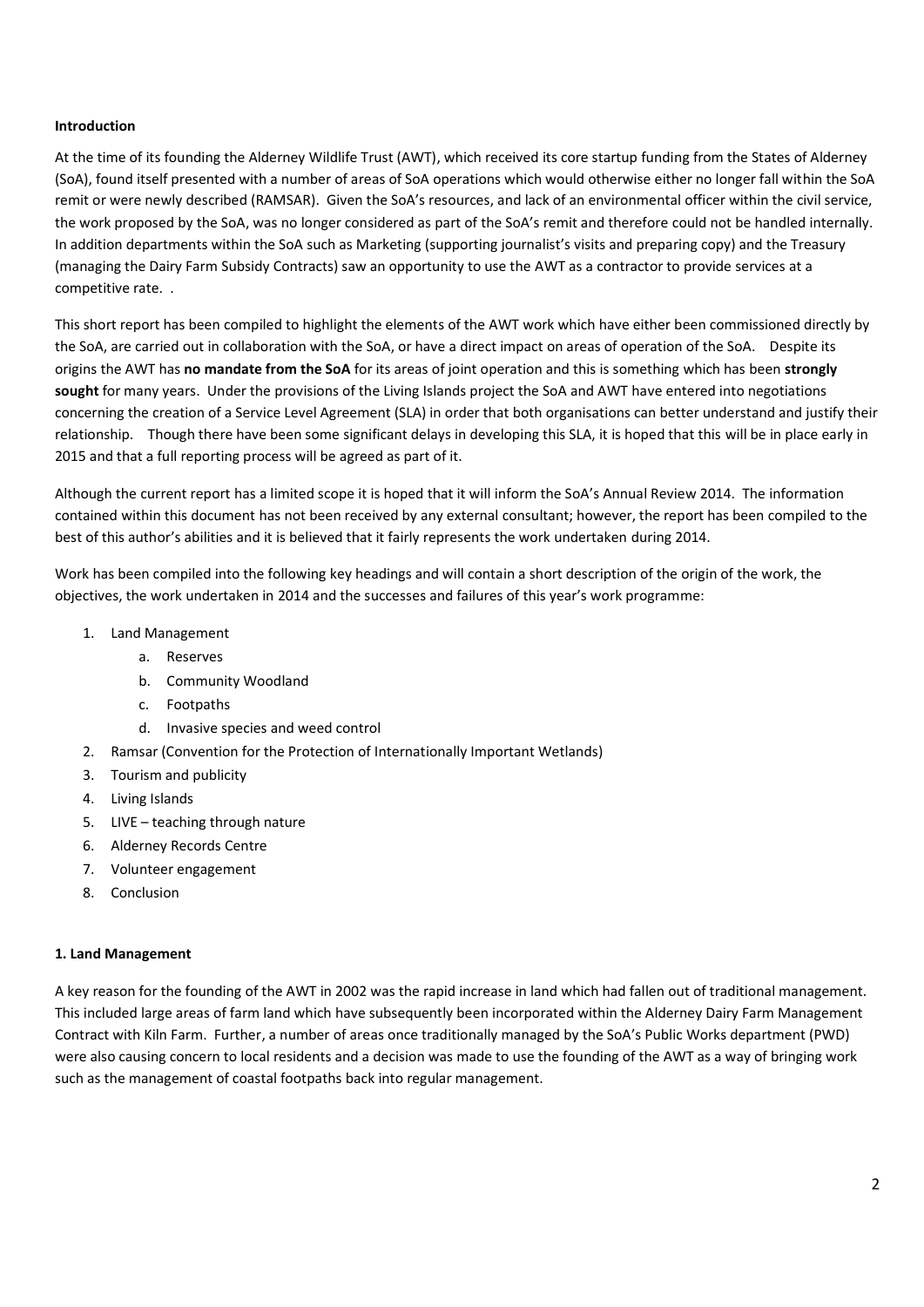#### **Introduction**

At the time of its founding the Alderney Wildlife Trust (AWT), which received its core startup funding from the States of Alderney (SoA), found itself presented with a number of areas of SoA operations which would otherwise either no longer fall within the SoA remit or were newly described (RAMSAR). Given the SoA's resources, and lack of an environmental officer within the civil service, the work proposed by the SoA, was no longer considered as part of the SoA's remit and therefore could not be handled internally. In addition departments within the SoA such as Marketing (supporting journalist's visits and preparing copy) and the Treasury (managing the Dairy Farm Subsidy Contracts) saw an opportunity to use the AWT as a contractor to provide services at a competitive rate. .

This short report has been compiled to highlight the elements of the AWT work which have either been commissioned directly by the SoA, are carried out in collaboration with the SoA, or have a direct impact on areas of operation of the SoA. Despite its origins the AWT has **no mandate from the SoA** for its areas of joint operation and this is something which has been **strongly sought** for many years. Under the provisions of the Living Islands project the SoA and AWT have entered into negotiations concerning the creation of a Service Level Agreement (SLA) in order that both organisations can better understand and justify their relationship. Though there have been some significant delays in developing this SLA, it is hoped that this will be in place early in 2015 and that a full reporting process will be agreed as part of it.

Although the current report has a limited scope it is hoped that it will inform the SoA's Annual Review 2014. The information contained within this document has not been received by any external consultant; however, the report has been compiled to the best of this author's abilities and it is believed that it fairly represents the work undertaken during 2014.

Work has been compiled into the following key headings and will contain a short description of the origin of the work, the objectives, the work undertaken in 2014 and the successes and failures of this year's work programme:

- 1. Land Management
	- a. Reserves
	- b. Community Woodland
	- c. Footpaths
	- d. Invasive species and weed control
- 2. Ramsar (Convention for the Protection of Internationally Important Wetlands)
- 3. Tourism and publicity
- 4. Living Islands
- 5. LIVE teaching through nature
- 6. Alderney Records Centre
- 7. Volunteer engagement
- 8. Conclusion

## **1. Land Management**

A key reason for the founding of the AWT in 2002 was the rapid increase in land which had fallen out of traditional management. This included large areas of farm land which have subsequently been incorporated within the Alderney Dairy Farm Management Contract with Kiln Farm. Further, a number of areas once traditionally managed by the SoA's Public Works department (PWD) were also causing concern to local residents and a decision was made to use the founding of the AWT as a way of bringing work such as the management of coastal footpaths back into regular management.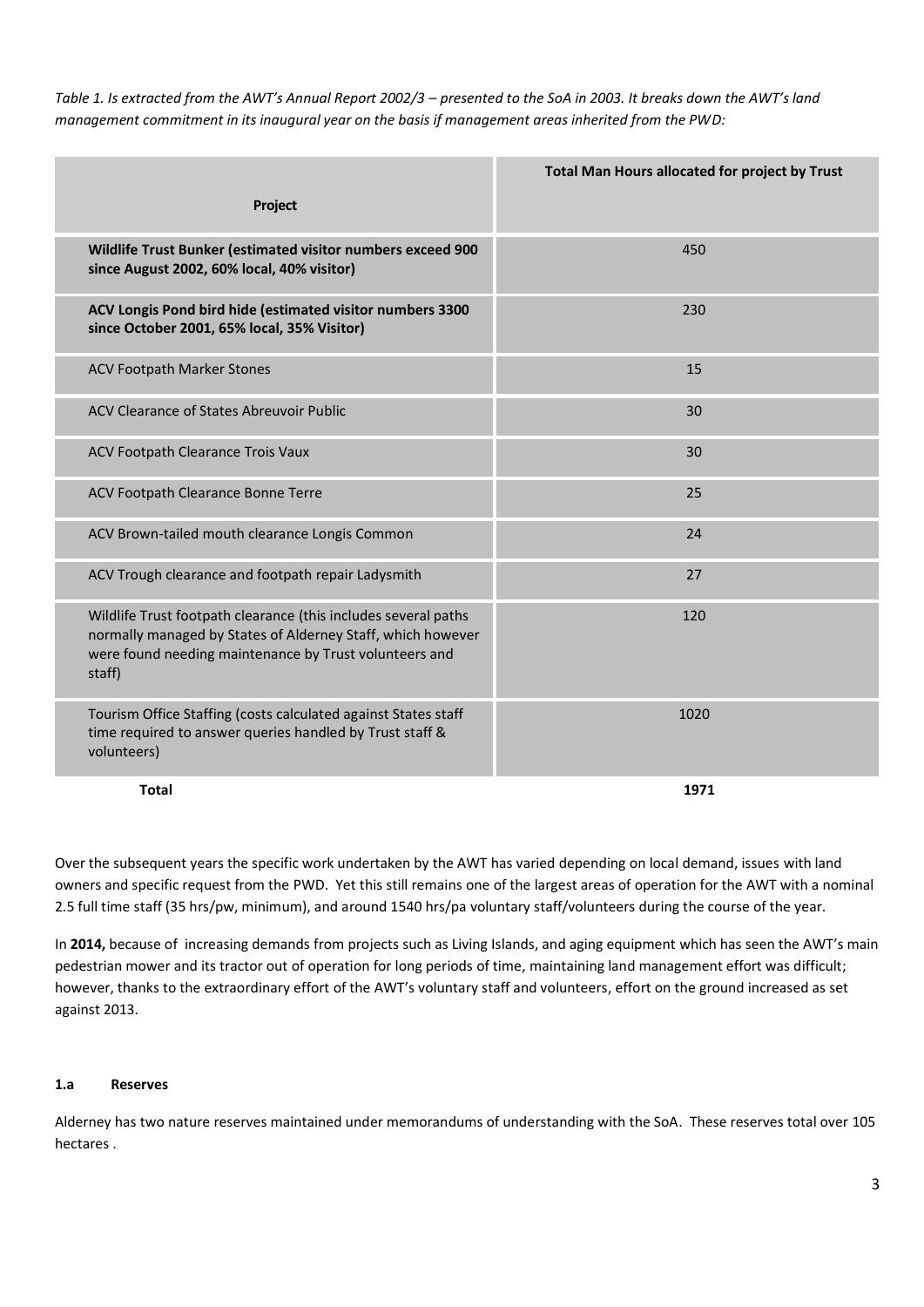*Table 1. Is extracted from the AWT's Annual Report 2002/3 – presented to the SoA in 2003. It breaks down the AWT's land management commitment in its inaugural year on the basis if management areas inherited from the PWD:*

|                                                                                                                                                                                                   | Total Man Hours allocated for project by Trust |  |
|---------------------------------------------------------------------------------------------------------------------------------------------------------------------------------------------------|------------------------------------------------|--|
| Project                                                                                                                                                                                           |                                                |  |
| Wildlife Trust Bunker (estimated visitor numbers exceed 900<br>since August 2002, 60% local, 40% visitor)                                                                                         | 450                                            |  |
| ACV Longis Pond bird hide (estimated visitor numbers 3300<br>since October 2001, 65% local, 35% Visitor)                                                                                          | 230                                            |  |
| <b>ACV Footpath Marker Stones</b>                                                                                                                                                                 | 15                                             |  |
| ACV Clearance of States Abreuvoir Public                                                                                                                                                          | 30                                             |  |
| ACV Footpath Clearance Trois Vaux                                                                                                                                                                 | 30                                             |  |
| ACV Footpath Clearance Bonne Terre                                                                                                                                                                | 25                                             |  |
| ACV Brown-tailed mouth clearance Longis Common                                                                                                                                                    | 24                                             |  |
| ACV Trough clearance and footpath repair Ladysmith                                                                                                                                                | 27                                             |  |
| Wildlife Trust footpath clearance (this includes several paths<br>normally managed by States of Alderney Staff, which however<br>were found needing maintenance by Trust volunteers and<br>staff) | 120                                            |  |
| Tourism Office Staffing (costs calculated against States staff<br>time required to answer queries handled by Trust staff &<br>volunteers)                                                         | 1020                                           |  |
| <b>Total</b>                                                                                                                                                                                      | 1971                                           |  |

Over the subsequent years the specific work undertaken by the AWT has varied depending on local demand, issues with land owners and specific request from the PWD. Yet this still remains one of the largest areas of operation for the AWT with a nominal 2.5 full time staff (35 hrs/pw, minimum), and around 1540 hrs/pa voluntary staff/volunteers during the course of the year.

In **2014,** because of increasing demands from projects such as Living Islands, and aging equipment which has seen the AWT's main pedestrian mower and its tractor out of operation for long periods of time, maintaining land management effort was difficult; however, thanks to the extraordinary effort of the AWT's voluntary staff and volunteers, effort on the ground increased as set against 2013.

## **1.a Reserves**

Alderney has two nature reserves maintained under memorandums of understanding with the SoA. These reserves total over 105 hectares .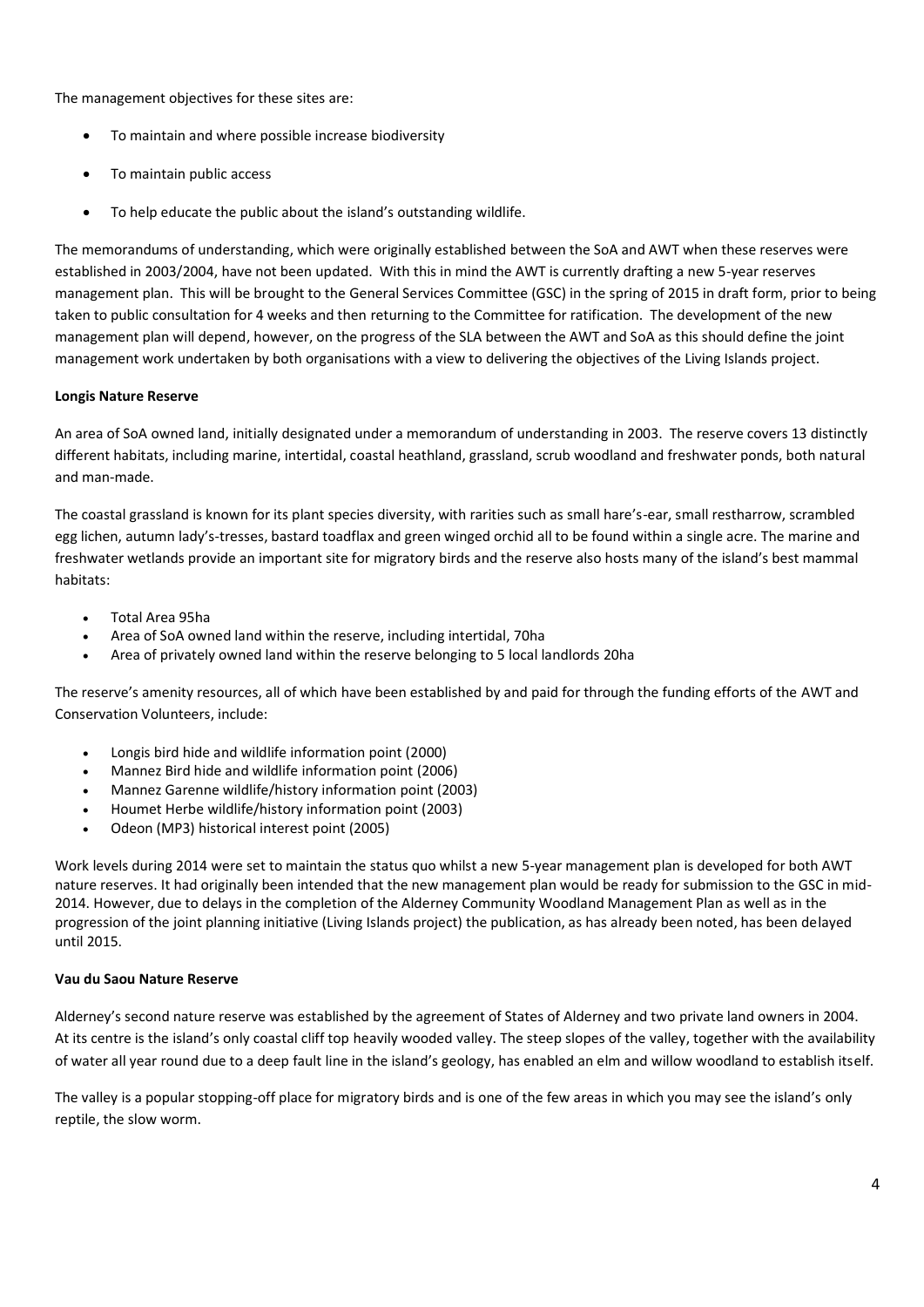The management objectives for these sites are:

- To maintain and where possible increase biodiversity
- To maintain public access
- To help educate the public about the island's outstanding wildlife.

The memorandums of understanding, which were originally established between the SoA and AWT when these reserves were established in 2003/2004, have not been updated. With this in mind the AWT is currently drafting a new 5-year reserves management plan. This will be brought to the General Services Committee (GSC) in the spring of 2015 in draft form, prior to being taken to public consultation for 4 weeks and then returning to the Committee for ratification. The development of the new management plan will depend, however, on the progress of the SLA between the AWT and SoA as this should define the joint management work undertaken by both organisations with a view to delivering the objectives of the Living Islands project.

## **Longis Nature Reserve**

An area of SoA owned land, initially designated under a memorandum of understanding in 2003. The reserve covers 13 distinctly different habitats, including marine, intertidal, coastal heathland, grassland, scrub woodland and freshwater ponds, both natural and man-made.

The coastal grassland is known for its plant species diversity, with rarities such as small hare's-ear, small restharrow, scrambled egg lichen, autumn lady's-tresses, bastard toadflax and green winged orchid all to be found within a single acre. The marine and freshwater wetlands provide an important site for migratory birds and the reserve also hosts many of the island's best mammal habitats:

- Total Area 95ha
- Area of SoA owned land within the reserve, including intertidal, 70ha
- Area of privately owned land within the reserve belonging to 5 local landlords 20ha

The reserve's amenity resources, all of which have been established by and paid for through the funding efforts of the AWT and Conservation Volunteers, include:

- Longis bird hide and wildlife information point (2000)
- Mannez Bird hide and wildlife information point (2006)
- Mannez Garenne wildlife/history information point (2003)
- Houmet Herbe wildlife/history information point (2003)
- Odeon (MP3) historical interest point (2005)

Work levels during 2014 were set to maintain the status quo whilst a new 5-year management plan is developed for both AWT nature reserves. It had originally been intended that the new management plan would be ready for submission to the GSC in mid-2014. However, due to delays in the completion of the Alderney Community Woodland Management Plan as well as in the progression of the joint planning initiative (Living Islands project) the publication, as has already been noted, has been delayed until 2015.

## **Vau du Saou Nature Reserve**

Alderney's second nature reserve was established by the agreement of States of Alderney and two private land owners in 2004. At its centre is the island's only coastal cliff top heavily wooded valley. The steep slopes of the valley, together with the availability of water all year round due to a deep fault line in the island's geology, has enabled an elm and willow woodland to establish itself.

The valley is a popular stopping-off place for migratory birds and is one of the few areas in which you may see the island's only reptile, the slow worm.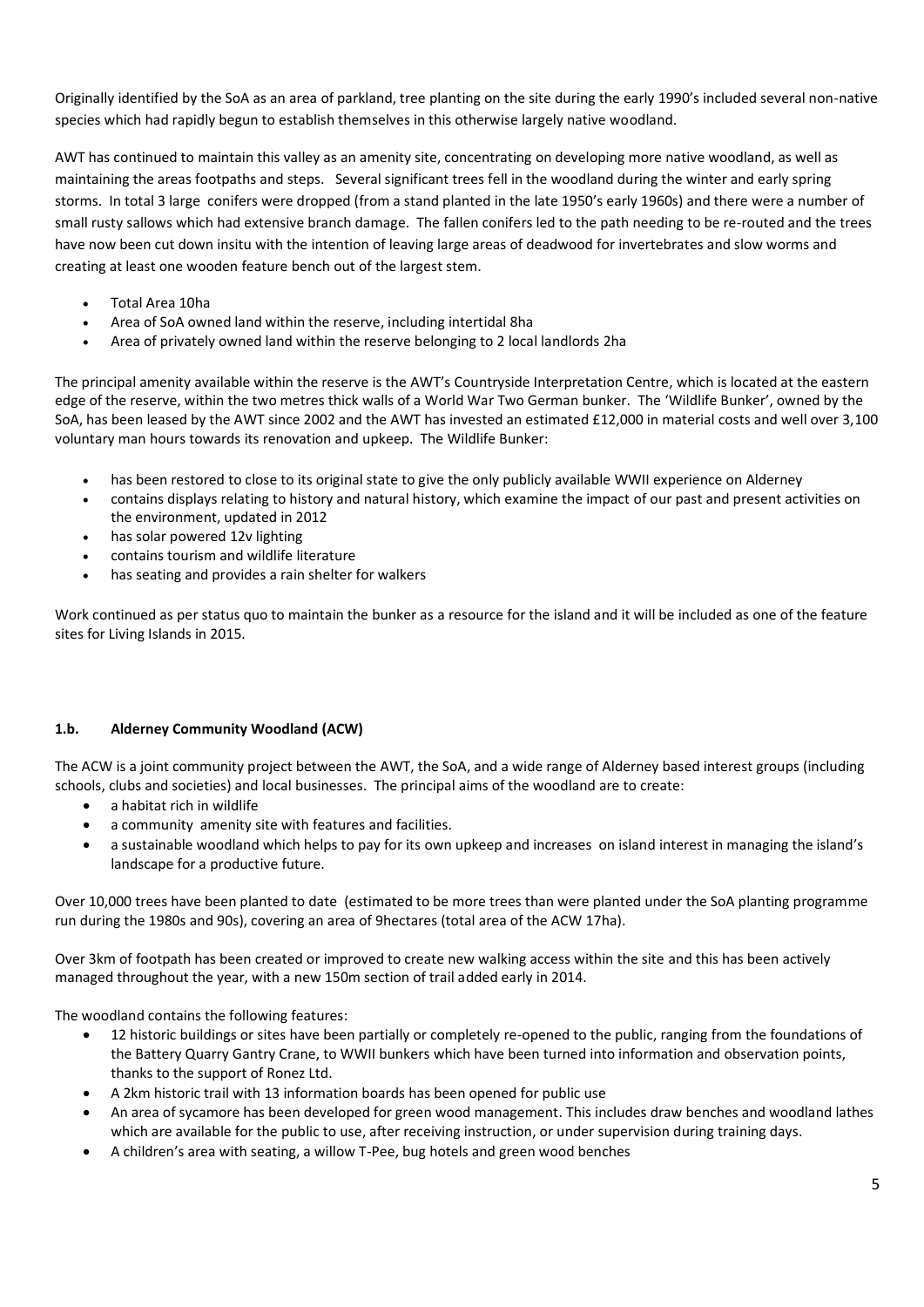Originally identified by the SoA as an area of parkland, tree planting on the site during the early 1990's included several non-native species which had rapidly begun to establish themselves in this otherwise largely native woodland.

AWT has continued to maintain this valley as an amenity site, concentrating on developing more native woodland, as well as maintaining the areas footpaths and steps. Several significant trees fell in the woodland during the winter and early spring storms. In total 3 large conifers were dropped (from a stand planted in the late 1950's early 1960s) and there were a number of small rusty sallows which had extensive branch damage. The fallen conifers led to the path needing to be re-routed and the trees have now been cut down insitu with the intention of leaving large areas of deadwood for invertebrates and slow worms and creating at least one wooden feature bench out of the largest stem.

- Total Area 10ha
- Area of SoA owned land within the reserve, including intertidal 8ha
- Area of privately owned land within the reserve belonging to 2 local landlords 2ha

The principal amenity available within the reserve is the AWT's Countryside Interpretation Centre, which is located at the eastern edge of the reserve, within the two metres thick walls of a World War Two German bunker. The 'Wildlife Bunker', owned by the SoA, has been leased by the AWT since 2002 and the AWT has invested an estimated £12,000 in material costs and well over 3,100 voluntary man hours towards its renovation and upkeep. The Wildlife Bunker:

- has been restored to close to its original state to give the only publicly available WWII experience on Alderney
- contains displays relating to history and natural history, which examine the impact of our past and present activities on the environment, updated in 2012
- has solar powered 12v lighting
- contains tourism and wildlife literature
- has seating and provides a rain shelter for walkers

Work continued as per status quo to maintain the bunker as a resource for the island and it will be included as one of the feature sites for Living Islands in 2015.

# **1.b. Alderney Community Woodland (ACW)**

The ACW is a joint community project between the AWT, the SoA, and a wide range of Alderney based interest groups (including schools, clubs and societies) and local businesses. The principal aims of the woodland are to create:

- a habitat rich in wildlife
- a community amenity site with features and facilities.
- a sustainable woodland which helps to pay for its own upkeep and increases on island interest in managing the island's landscape for a productive future.

Over 10,000 trees have been planted to date (estimated to be more trees than were planted under the SoA planting programme run during the 1980s and 90s), covering an area of 9hectares (total area of the ACW 17ha).

Over 3km of footpath has been created or improved to create new walking access within the site and this has been actively managed throughout the year, with a new 150m section of trail added early in 2014.

The woodland contains the following features:

- 12 historic buildings or sites have been partially or completely re-opened to the public, ranging from the foundations of the Battery Quarry Gantry Crane, to WWII bunkers which have been turned into information and observation points, thanks to the support of Ronez Ltd.
- A 2km historic trail with 13 information boards has been opened for public use
- An area of sycamore has been developed for green wood management. This includes draw benches and woodland lathes which are available for the public to use, after receiving instruction, or under supervision during training days.
- A children's area with seating, a willow T-Pee, bug hotels and green wood benches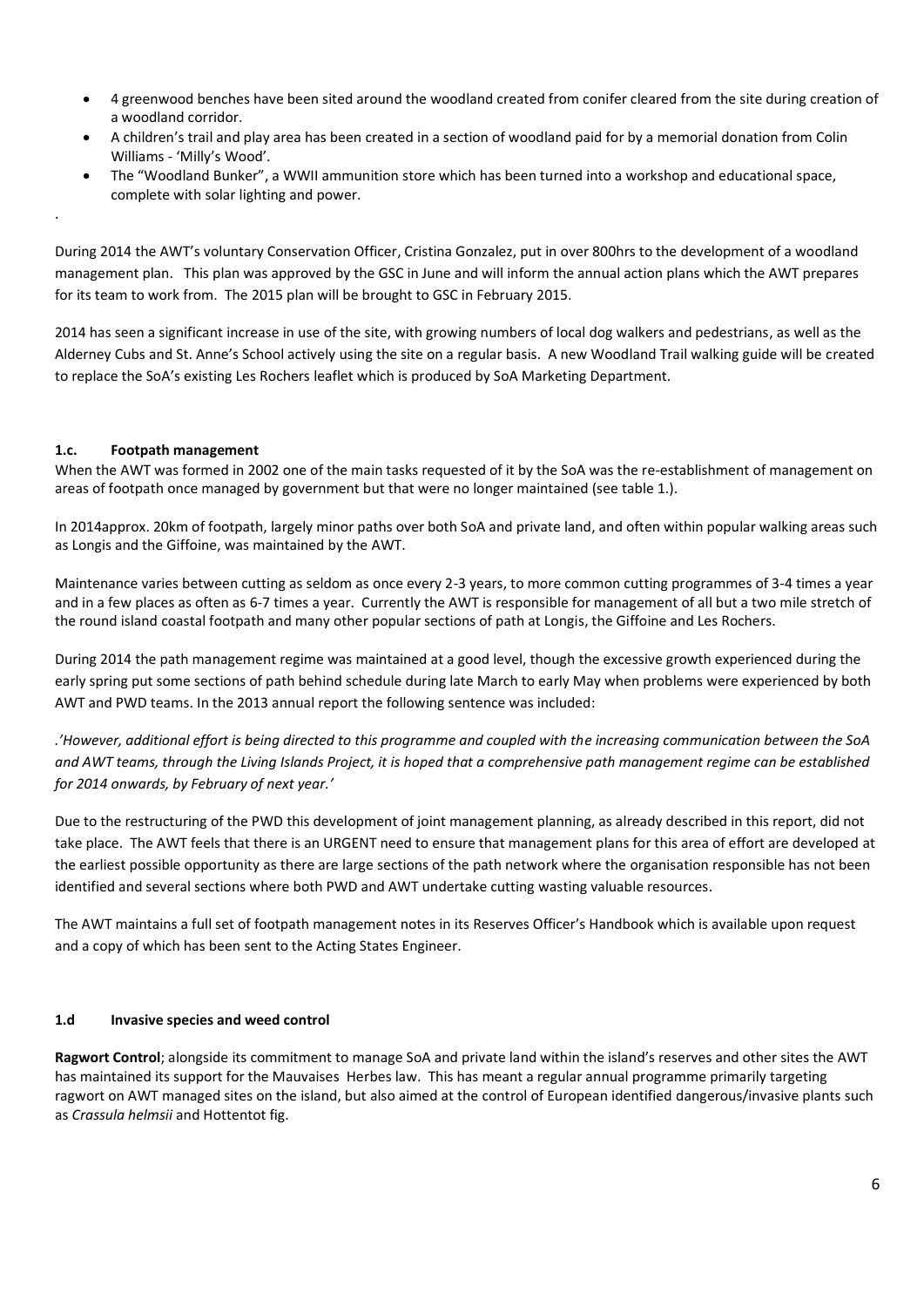- 4 greenwood benches have been sited around the woodland created from conifer cleared from the site during creation of a woodland corridor.
- A children's trail and play area has been created in a section of woodland paid for by a memorial donation from Colin Williams - 'Milly's Wood'.
- The "Woodland Bunker", a WWII ammunition store which has been turned into a workshop and educational space, complete with solar lighting and power.

During 2014 the AWT's voluntary Conservation Officer, Cristina Gonzalez, put in over 800hrs to the development of a woodland management plan. This plan was approved by the GSC in June and will inform the annual action plans which the AWT prepares for its team to work from. The 2015 plan will be brought to GSC in February 2015.

2014 has seen a significant increase in use of the site, with growing numbers of local dog walkers and pedestrians, as well as the Alderney Cubs and St. Anne's School actively using the site on a regular basis. A new Woodland Trail walking guide will be created to replace the SoA's existing Les Rochers leaflet which is produced by SoA Marketing Department.

# **1.c. Footpath management**

.

When the AWT was formed in 2002 one of the main tasks requested of it by the SoA was the re-establishment of management on areas of footpath once managed by government but that were no longer maintained (see table 1.).

In 2014approx. 20km of footpath, largely minor paths over both SoA and private land, and often within popular walking areas such as Longis and the Giffoine, was maintained by the AWT.

Maintenance varies between cutting as seldom as once every 2-3 years, to more common cutting programmes of 3-4 times a year and in a few places as often as 6-7 times a year. Currently the AWT is responsible for management of all but a two mile stretch of the round island coastal footpath and many other popular sections of path at Longis, the Giffoine and Les Rochers.

During 2014 the path management regime was maintained at a good level, though the excessive growth experienced during the early spring put some sections of path behind schedule during late March to early May when problems were experienced by both AWT and PWD teams. In the 2013 annual report the following sentence was included:

*.'However, additional effort is being directed to this programme and coupled with the increasing communication between the SoA and AWT teams, through the Living Islands Project, it is hoped that a comprehensive path management regime can be established for 2014 onwards, by February of next year.'* 

Due to the restructuring of the PWD this development of joint management planning, as already described in this report, did not take place. The AWT feels that there is an URGENT need to ensure that management plans for this area of effort are developed at the earliest possible opportunity as there are large sections of the path network where the organisation responsible has not been identified and several sections where both PWD and AWT undertake cutting wasting valuable resources.

The AWT maintains a full set of footpath management notes in its Reserves Officer's Handbook which is available upon request and a copy of which has been sent to the Acting States Engineer.

## **1.d Invasive species and weed control**

**Ragwort Control**; alongside its commitment to manage SoA and private land within the island's reserves and other sites the AWT has maintained its support for the Mauvaises Herbes law. This has meant a regular annual programme primarily targeting ragwort on AWT managed sites on the island, but also aimed at the control of European identified dangerous/invasive plants such as *Crassula helmsii* and Hottentot fig.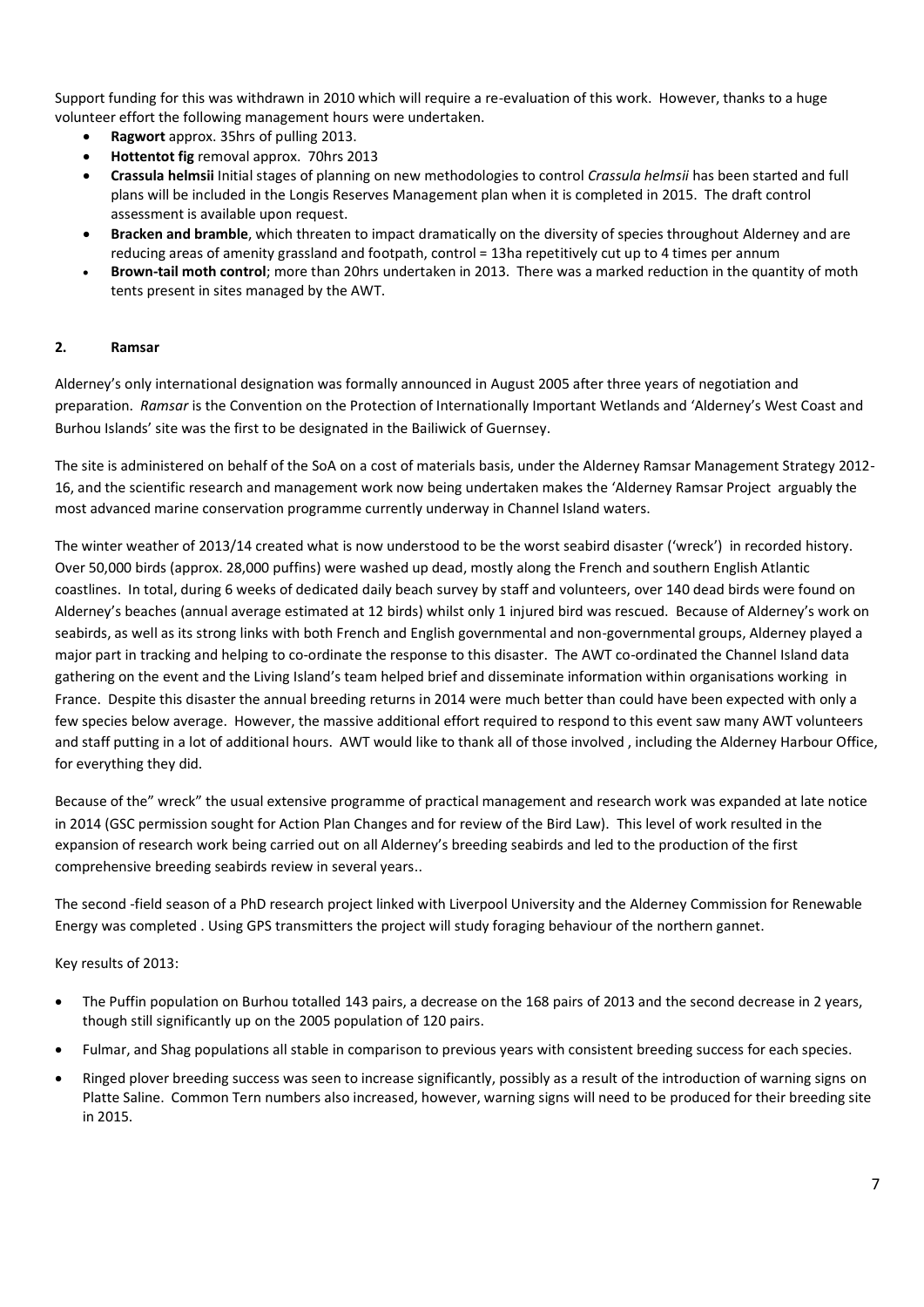Support funding for this was withdrawn in 2010 which will require a re-evaluation of this work. However, thanks to a huge volunteer effort the following management hours were undertaken.

- **Ragwort** approx. 35hrs of pulling 2013.
- **Hottentot fig** removal approx. 70hrs 2013
- **Crassula helmsii** Initial stages of planning on new methodologies to control *Crassula helmsii* has been started and full plans will be included in the Longis Reserves Management plan when it is completed in 2015. The draft control assessment is available upon request.
- **Bracken and bramble**, which threaten to impact dramatically on the diversity of species throughout Alderney and are reducing areas of amenity grassland and footpath, control = 13ha repetitively cut up to 4 times per annum
- **Brown-tail moth control**; more than 20hrs undertaken in 2013. There was a marked reduction in the quantity of moth tents present in sites managed by the AWT.

## **2. Ramsar**

Alderney's only international designation was formally announced in August 2005 after three years of negotiation and preparation. *Ramsar* is the Convention on the Protection of Internationally Important Wetlands and 'Alderney's West Coast and Burhou Islands' site was the first to be designated in the Bailiwick of Guernsey.

The site is administered on behalf of the SoA on a cost of materials basis, under the Alderney Ramsar Management Strategy 2012- 16, and the scientific research and management work now being undertaken makes the 'Alderney Ramsar Project arguably the most advanced marine conservation programme currently underway in Channel Island waters.

The winter weather of 2013/14 created what is now understood to be the worst seabird disaster ('wreck') in recorded history. Over 50,000 birds (approx. 28,000 puffins) were washed up dead, mostly along the French and southern English Atlantic coastlines. In total, during 6 weeks of dedicated daily beach survey by staff and volunteers, over 140 dead birds were found on Alderney's beaches (annual average estimated at 12 birds) whilst only 1 injured bird was rescued. Because of Alderney's work on seabirds, as well as its strong links with both French and English governmental and non-governmental groups, Alderney played a major part in tracking and helping to co-ordinate the response to this disaster. The AWT co-ordinated the Channel Island data gathering on the event and the Living Island's team helped brief and disseminate information within organisations working in France. Despite this disaster the annual breeding returns in 2014 were much better than could have been expected with only a few species below average. However, the massive additional effort required to respond to this event saw many AWT volunteers and staff putting in a lot of additional hours. AWT would like to thank all of those involved , including the Alderney Harbour Office, for everything they did.

Because of the" wreck" the usual extensive programme of practical management and research work was expanded at late notice in 2014 (GSC permission sought for Action Plan Changes and for review of the Bird Law). This level of work resulted in the expansion of research work being carried out on all Alderney's breeding seabirds and led to the production of the first comprehensive breeding seabirds review in several years..

The second -field season of a PhD research project linked with Liverpool University and the Alderney Commission for Renewable Energy was completed . Using GPS transmitters the project will study foraging behaviour of the northern gannet.

# Key results of 2013:

- The Puffin population on Burhou totalled 143 pairs, a decrease on the 168 pairs of 2013 and the second decrease in 2 years, though still significantly up on the 2005 population of 120 pairs.
- Fulmar, and Shag populations all stable in comparison to previous years with consistent breeding success for each species.
- Ringed plover breeding success was seen to increase significantly, possibly as a result of the introduction of warning signs on Platte Saline. Common Tern numbers also increased, however, warning signs will need to be produced for their breeding site in 2015.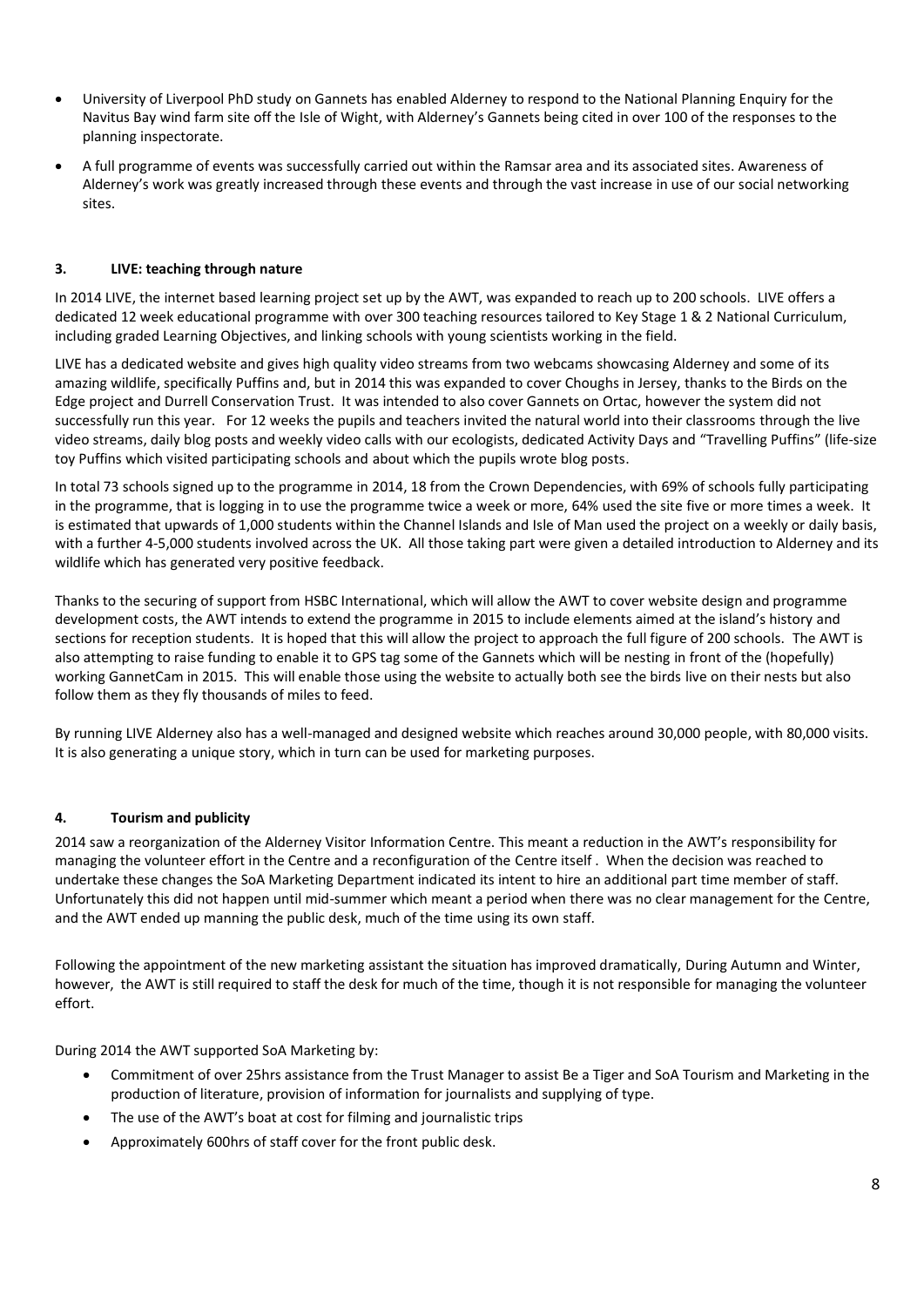- University of Liverpool PhD study on Gannets has enabled Alderney to respond to the National Planning Enquiry for the Navitus Bay wind farm site off the Isle of Wight, with Alderney's Gannets being cited in over 100 of the responses to the planning inspectorate.
- A full programme of events was successfully carried out within the Ramsar area and its associated sites. Awareness of Alderney's work was greatly increased through these events and through the vast increase in use of our social networking sites.

# **3. LIVE: teaching through nature**

In 2014 LIVE, the internet based learning project set up by the AWT, was expanded to reach up to 200 schools. LIVE offers a dedicated 12 week educational programme with over 300 teaching resources tailored to Key Stage 1 & 2 National Curriculum, including graded Learning Objectives, and linking schools with young scientists working in the field.

LIVE has a dedicated website and gives high quality video streams from two webcams showcasing Alderney and some of its amazing wildlife, specifically Puffins and, but in 2014 this was expanded to cover Choughs in Jersey, thanks to the Birds on the Edge project and Durrell Conservation Trust. It was intended to also cover Gannets on Ortac, however the system did not successfully run this year. For 12 weeks the pupils and teachers invited the natural world into their classrooms through the live video streams, daily blog posts and weekly video calls with our ecologists, dedicated Activity Days and "Travelling Puffins" (life-size toy Puffins which visited participating schools and about which the pupils wrote blog posts.

In total 73 schools signed up to the programme in 2014, 18 from the Crown Dependencies, with 69% of schools fully participating in the programme, that is logging in to use the programme twice a week or more, 64% used the site five or more times a week. It is estimated that upwards of 1,000 students within the Channel Islands and Isle of Man used the project on a weekly or daily basis, with a further 4-5,000 students involved across the UK. All those taking part were given a detailed introduction to Alderney and its wildlife which has generated very positive feedback.

Thanks to the securing of support from HSBC International, which will allow the AWT to cover website design and programme development costs, the AWT intends to extend the programme in 2015 to include elements aimed at the island's history and sections for reception students. It is hoped that this will allow the project to approach the full figure of 200 schools. The AWT is also attempting to raise funding to enable it to GPS tag some of the Gannets which will be nesting in front of the (hopefully) working GannetCam in 2015. This will enable those using the website to actually both see the birds live on their nests but also follow them as they fly thousands of miles to feed.

By running LIVE Alderney also has a well-managed and designed website which reaches around 30,000 people, with 80,000 visits. It is also generating a unique story, which in turn can be used for marketing purposes.

## **4. Tourism and publicity**

2014 saw a reorganization of the Alderney Visitor Information Centre. This meant a reduction in the AWT's responsibility for managing the volunteer effort in the Centre and a reconfiguration of the Centre itself . When the decision was reached to undertake these changes the SoA Marketing Department indicated its intent to hire an additional part time member of staff. Unfortunately this did not happen until mid-summer which meant a period when there was no clear management for the Centre, and the AWT ended up manning the public desk, much of the time using its own staff.

Following the appointment of the new marketing assistant the situation has improved dramatically, During Autumn and Winter, however, the AWT is still required to staff the desk for much of the time, though it is not responsible for managing the volunteer effort.

During 2014 the AWT supported SoA Marketing by:

- Commitment of over 25hrs assistance from the Trust Manager to assist Be a Tiger and SoA Tourism and Marketing in the production of literature, provision of information for journalists and supplying of type.
- The use of the AWT's boat at cost for filming and journalistic trips
- Approximately 600hrs of staff cover for the front public desk.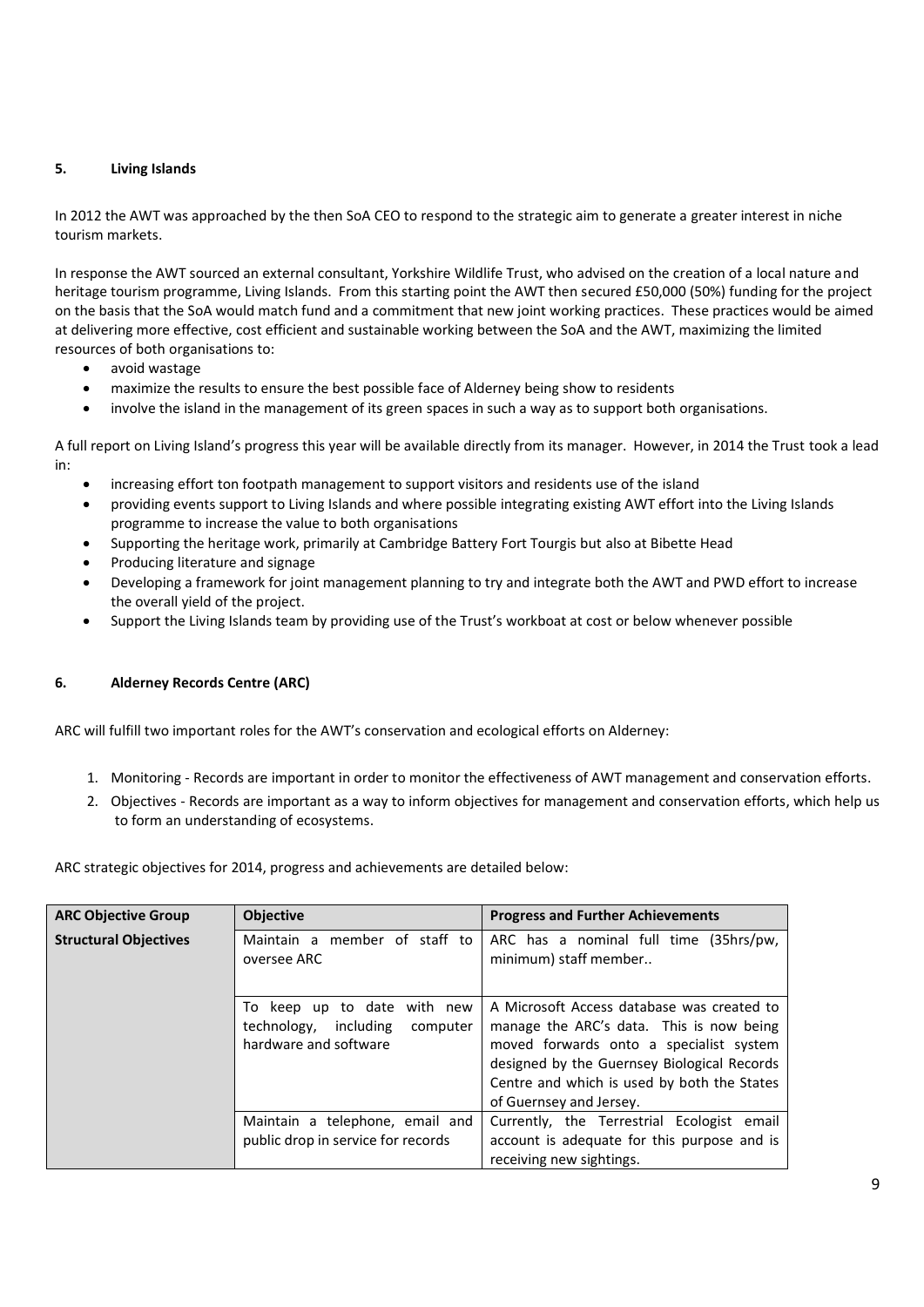## **5. Living Islands**

In 2012 the AWT was approached by the then SoA CEO to respond to the strategic aim to generate a greater interest in niche tourism markets.

In response the AWT sourced an external consultant, Yorkshire Wildlife Trust, who advised on the creation of a local nature and heritage tourism programme, Living Islands. From this starting point the AWT then secured £50,000 (50%) funding for the project on the basis that the SoA would match fund and a commitment that new joint working practices. These practices would be aimed at delivering more effective, cost efficient and sustainable working between the SoA and the AWT, maximizing the limited resources of both organisations to:

- avoid wastage
- maximize the results to ensure the best possible face of Alderney being show to residents
- involve the island in the management of its green spaces in such a way as to support both organisations.

A full report on Living Island's progress this year will be available directly from its manager. However, in 2014 the Trust took a lead in:

- increasing effort ton footpath management to support visitors and residents use of the island
- providing events support to Living Islands and where possible integrating existing AWT effort into the Living Islands programme to increase the value to both organisations
- Supporting the heritage work, primarily at Cambridge Battery Fort Tourgis but also at Bibette Head
- Producing literature and signage
- Developing a framework for joint management planning to try and integrate both the AWT and PWD effort to increase the overall yield of the project.
- Support the Living Islands team by providing use of the Trust's workboat at cost or below whenever possible

## **6. Alderney Records Centre (ARC)**

ARC will fulfill two important roles for the AWT's conservation and ecological efforts on Alderney:

- 1. Monitoring Records are important in order to monitor the effectiveness of AWT management and conservation efforts.
- 2. Objectives Records are important as a way to inform objectives for management and conservation efforts, which help us to form an understanding of ecosystems.

ARC strategic objectives for 2014, progress and achievements are detailed below:

| <b>ARC Objective Group</b>   | <b>Objective</b>                                                                             | <b>Progress and Further Achievements</b>                                                                                                                                                                                                                   |  |  |
|------------------------------|----------------------------------------------------------------------------------------------|------------------------------------------------------------------------------------------------------------------------------------------------------------------------------------------------------------------------------------------------------------|--|--|
| <b>Structural Objectives</b> | Maintain a member of staff to<br>oversee ARC                                                 | ARC has a nominal full time (35hrs/pw,<br>minimum) staff member                                                                                                                                                                                            |  |  |
|                              | To keep up to date<br>with new<br>technology, including<br>computer<br>hardware and software | A Microsoft Access database was created to<br>manage the ARC's data. This is now being<br>moved forwards onto a specialist system<br>designed by the Guernsey Biological Records<br>Centre and which is used by both the States<br>of Guernsey and Jersey. |  |  |
|                              | Maintain a telephone, email and<br>public drop in service for records                        | Currently, the Terrestrial Ecologist email<br>account is adequate for this purpose and is<br>receiving new sightings.                                                                                                                                      |  |  |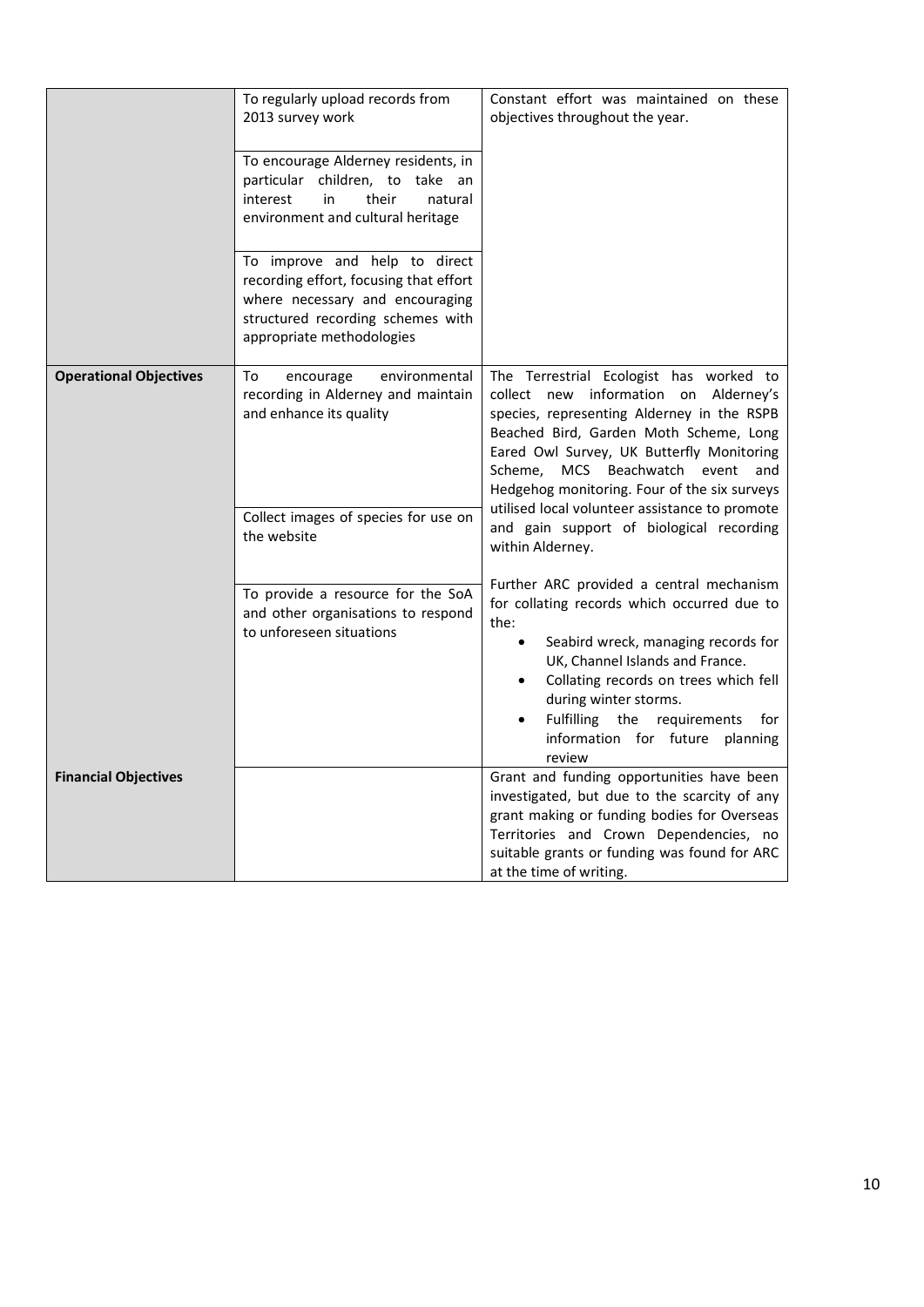|                               | To regularly upload records from<br>2013 survey work<br>To encourage Alderney residents, in<br>particular children, to take an<br>interest<br>in<br>their<br>natural<br>environment and cultural heritage<br>To improve and help to direct<br>recording effort, focusing that effort<br>where necessary and encouraging<br>structured recording schemes with<br>appropriate methodologies | Constant effort was maintained on these<br>objectives throughout the year.                                                                                                                                                                                                                                                                                                                                                                  |  |
|-------------------------------|-------------------------------------------------------------------------------------------------------------------------------------------------------------------------------------------------------------------------------------------------------------------------------------------------------------------------------------------------------------------------------------------|---------------------------------------------------------------------------------------------------------------------------------------------------------------------------------------------------------------------------------------------------------------------------------------------------------------------------------------------------------------------------------------------------------------------------------------------|--|
| <b>Operational Objectives</b> | To<br>environmental<br>encourage<br>recording in Alderney and maintain<br>and enhance its quality<br>Collect images of species for use on<br>the website                                                                                                                                                                                                                                  | The Terrestrial Ecologist has worked to<br>collect new information on Alderney's<br>species, representing Alderney in the RSPB<br>Beached Bird, Garden Moth Scheme, Long<br>Eared Owl Survey, UK Butterfly Monitoring<br>Beachwatch event<br>Scheme,<br><b>MCS</b><br>and<br>Hedgehog monitoring. Four of the six surveys<br>utilised local volunteer assistance to promote<br>and gain support of biological recording<br>within Alderney. |  |
|                               | To provide a resource for the SoA<br>and other organisations to respond<br>to unforeseen situations                                                                                                                                                                                                                                                                                       | Further ARC provided a central mechanism<br>for collating records which occurred due to<br>the:<br>Seabird wreck, managing records for<br>$\bullet$<br>UK, Channel Islands and France.<br>Collating records on trees which fell<br>during winter storms.<br>Fulfilling the requirements<br>for<br>information for future planning<br>review                                                                                                 |  |
| <b>Financial Objectives</b>   |                                                                                                                                                                                                                                                                                                                                                                                           | Grant and funding opportunities have been<br>investigated, but due to the scarcity of any<br>grant making or funding bodies for Overseas<br>Territories and Crown Dependencies, no<br>suitable grants or funding was found for ARC<br>at the time of writing.                                                                                                                                                                               |  |